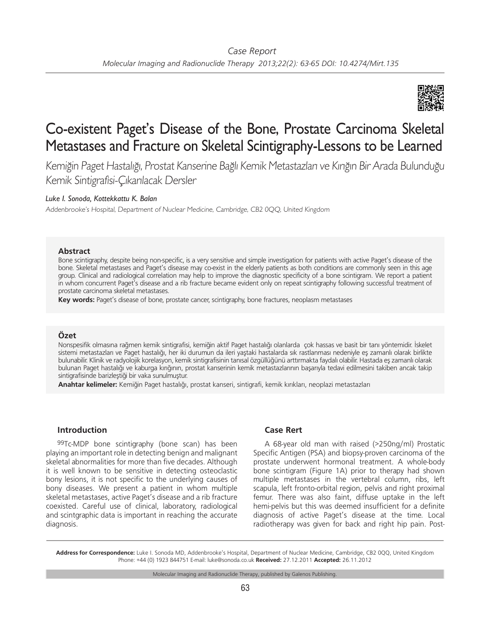

# Co-existent Paget's Disease of the Bone, Prostate Carcinoma Skeletal Metastases and Fracture on Skeletal Scintigraphy-Lessons to be Learned

Kemiğin Paget Hastalığı, Prostat Kanserine Bağlı Kemik Metastazları ve Kırığın Bir Arada Bulunduğu Kemik Sintigrafisi-Çıkarılacak Dersler

### *Luke I. Sonoda, Kottekkattu K. Balan*

Addenbrooke's Hospital, Department of Nuclear Medicine, Cambridge, CB2 0QQ, United Kingdom

#### **Abstract**

Bone scintigraphy, despite being non-specific, is a very sensitive and simple investigation for patients with active Paget's disease of the bone. Skeletal metastases and Paget's disease may co-exist in the elderly patients as both conditions are commonly seen in this age group. Clinical and radiological correlation may help to improve the diagnostic specificity of a bone scintigram. We report a patient in whom concurrent Paget's disease and a rib fracture became evident only on repeat scintigraphy following successful treatment of prostate carcinoma skeletal metastases.

**Key words:** Paget's disease of bone, prostate cancer, scintigraphy, bone fractures, neoplasm metastases

## **Özet**

Nonspesifik olmasına rağmen kemik sintigrafisi, kemiğin aktif Paget hastalığı olanlarda çok hassas ve basit bir tanı yöntemidir. İskelet sistemi metastazları ve Paget hastalığı, her iki durumun da ileri yaştaki hastalarda sık rastlanması nedeniyle eş zamanlı olarak birlikte bulunabilir. Klinik ve radyolojik korelasyon, kemik sintigrafisinin tanısal özgüllüğünü arttırmakta faydalı olabilir. Hastada eş zamanlı olarak bulunan Paget hastalığı ve kaburga kırığının, prostat kanserinin kemik metastazlarının başarıyla tedavi edilmesini takiben ancak takip sintigrafisinde barizleştiği bir vaka sunulmuştur.

**Anahtar kelimeler:** Kemiğin Paget hastalığı, prostat kanseri, sintigrafi, kemik kırıkları, neoplazi metastazları

## **Introduction**

99Tc-MDP bone scintigraphy (bone scan) has been playing an important role in detecting benign and malignant skeletal abnormalities for more than five decades. Although it is well known to be sensitive in detecting osteoclastic bony lesions, it is not specific to the underlying causes of bony diseases. We present a patient in whom multiple skeletal metastases, active Paget's disease and a rib fracture coexisted. Careful use of clinical, laboratory, radiological and scintgraphic data is important in reaching the accurate diagnosis.

## **Case Rert**

A 68-year old man with raised (>250ng/ml) Prostatic Specific Antigen (PSA) and biopsy-proven carcinoma of the prostate underwent hormonal treatment. A whole-body bone scintigram (Figure 1A) prior to therapy had shown multiple metastases in the vertebral column, ribs, left scapula, left fronto-orbital region, pelvis and right proximal femur. There was also faint, diffuse uptake in the left hemi-pelvis but this was deemed insufficient for a definite diagnosis of active Paget's disease at the time. Local radiotherapy was given for back and right hip pain. Post-

**Address for Correspondence:** Luke I. Sonoda MD, Addenbrooke's Hospital, Department of Nuclear Medicine, Cambridge, CB2 0QQ, United Kingdom Phone: +44 (0) 1923 844751 E-mail: luke@sonoda.co.uk **Received:** 27.12.2011 **Accepted:** 26.11.2012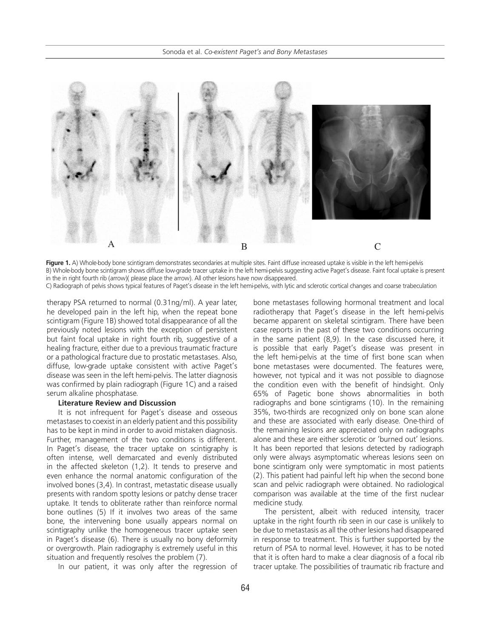

Figure 1. A) Whole-body bone scintigram demonstrates secondaries at multiple sites. Faint diffuse increased uptake is visible in the left hemi-pelvis B) Whole-body bone scintigram shows diffuse low-grade tracer uptake in the left hemi-pelvis suggesting active Paget's disease. Faint focal uptake is present in the in right fourth rib (arrow)( please place the arrow). All other lesions have now disappeared.

C) Radiograph of pelvis shows typical features of Paget's disease in the left hemi-pelvis, with lytic and sclerotic cortical changes and coarse trabeculation

therapy PSA returned to normal (0.31ng/ml). A year later, he developed pain in the left hip, when the repeat bone scintigram (Figure 1B) showed total disappearance of all the previously noted lesions with the exception of persistent but faint focal uptake in right fourth rib, suggestive of a healing fracture, either due to a previous traumatic fracture or a pathological fracture due to prostatic metastases. Also, diffuse, low-grade uptake consistent with active Paget's disease was seen in the left hemi-pelvis. The latter diagnosis was confirmed by plain radiograph (Figure 1C) and a raised serum alkaline phosphatase.

#### **Literature Review and Discussion**

It is not infrequent for Paget's disease and osseous metastases to coexist in an elderly patient and this possibility has to be kept in mind in order to avoid mistaken diagnosis. Further, management of the two conditions is different. In Paget's disease, the tracer uptake on scintigraphy is often intense, well demarcated and evenly distributed in the affected skeleton (1,2). It tends to preserve and even enhance the normal anatomic configuration of the involved bones (3,4). In contrast, metastatic disease usually presents with random spotty lesions or patchy dense tracer uptake. It tends to obliterate rather than reinforce normal bone outlines (5) If it involves two areas of the same bone, the intervening bone usually appears normal on scintigraphy unlike the homogeneous tracer uptake seen in Paget's disease (6). There is usually no bony deformity or overgrowth. Plain radiography is extremely useful in this situation and frequently resolves the problem (7).

In our patient, it was only after the regression of

bone metastases following hormonal treatment and local radiotherapy that Paget's disease in the left hemi-pelvis became apparent on skeletal scintigram. There have been case reports in the past of these two conditions occurring in the same patient (8,9). In the case discussed here, it is possible that early Paget's disease was present in the left hemi-pelvis at the time of first bone scan when bone metastases were documented. The features were, however, not typical and it was not possible to diagnose the condition even with the benefit of hindsight. Only 65% of Pagetic bone shows abnormalities in both radiographs and bone scintigrams (10). In the remaining 35%, two-thirds are recognized only on bone scan alone and these are associated with early disease. One-third of the remaining lesions are appreciated only on radiographs alone and these are either sclerotic or 'burned out' lesions. It has been reported that lesions detected by radiograph only were always asymptomatic whereas lesions seen on bone scintigram only were symptomatic in most patients (2). This patient had painful left hip when the second bone scan and pelvic radiograph were obtained. No radiological comparison was available at the time of the first nuclear medicine study.

The persistent, albeit with reduced intensity, tracer uptake in the right fourth rib seen in our case is unlikely to be due to metastasis as all the other lesions had disappeared in response to treatment. This is further supported by the return of PSA to normal level. However, it has to be noted that it is often hard to make a clear diagnosis of a focal rib tracer uptake. The possibilities of traumatic rib fracture and